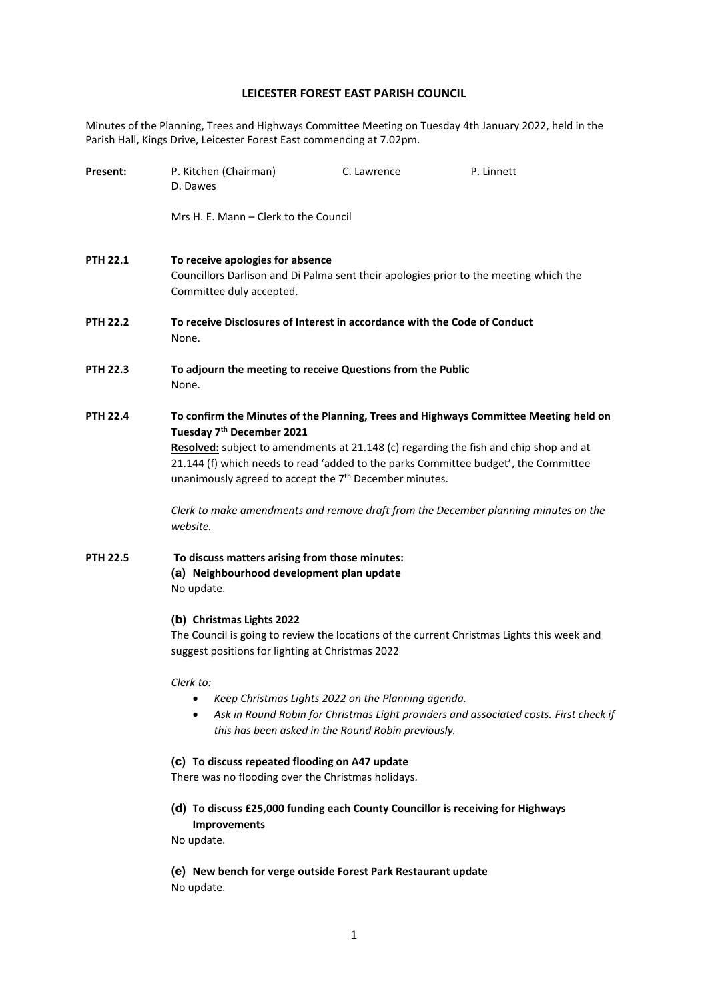## **LEICESTER FOREST EAST PARISH COUNCIL**

Minutes of the Planning, Trees and Highways Committee Meeting on Tuesday 4th January 2022, held in the Parish Hall, Kings Drive, Leicester Forest East commencing at 7.02pm.

| Present:        | P. Kitchen (Chairman)<br>D. Dawes                                                                                                                                                                                                                                                                                                                                                                                                                                                      | C. Lawrence | P. Linnett |  |
|-----------------|----------------------------------------------------------------------------------------------------------------------------------------------------------------------------------------------------------------------------------------------------------------------------------------------------------------------------------------------------------------------------------------------------------------------------------------------------------------------------------------|-------------|------------|--|
|                 | Mrs H. E. Mann – Clerk to the Council                                                                                                                                                                                                                                                                                                                                                                                                                                                  |             |            |  |
| PTH 22.1        | To receive apologies for absence<br>Councillors Darlison and Di Palma sent their apologies prior to the meeting which the<br>Committee duly accepted.                                                                                                                                                                                                                                                                                                                                  |             |            |  |
| PTH 22.2        | To receive Disclosures of Interest in accordance with the Code of Conduct<br>None.                                                                                                                                                                                                                                                                                                                                                                                                     |             |            |  |
| PTH 22.3        | To adjourn the meeting to receive Questions from the Public<br>None.                                                                                                                                                                                                                                                                                                                                                                                                                   |             |            |  |
| <b>PTH 22.4</b> | To confirm the Minutes of the Planning, Trees and Highways Committee Meeting held on<br>Tuesday 7 <sup>th</sup> December 2021<br>Resolved: subject to amendments at 21.148 (c) regarding the fish and chip shop and at<br>21.144 (f) which needs to read 'added to the parks Committee budget', the Committee<br>unanimously agreed to accept the 7 <sup>th</sup> December minutes.<br>Clerk to make amendments and remove draft from the December planning minutes on the<br>website. |             |            |  |
| PTH 22.5        | To discuss matters arising from those minutes:<br>(a) Neighbourhood development plan update<br>No update.<br>(b) Christmas Lights 2022<br>The Council is going to review the locations of the current Christmas Lights this week and<br>suggest positions for lighting at Christmas 2022                                                                                                                                                                                               |             |            |  |
|                 | Clerk to:<br>Keep Christmas Lights 2022 on the Planning agenda.<br>Ask in Round Robin for Christmas Light providers and associated costs. First check if<br>$\bullet$<br>this has been asked in the Round Robin previously.                                                                                                                                                                                                                                                            |             |            |  |
|                 | (c) To discuss repeated flooding on A47 update                                                                                                                                                                                                                                                                                                                                                                                                                                         |             |            |  |

There was no flooding over the Christmas holidays.

**(d) To discuss £25,000 funding each County Councillor is receiving for Highways Improvements**

No update.

**(e) New bench for verge outside Forest Park Restaurant update** No update.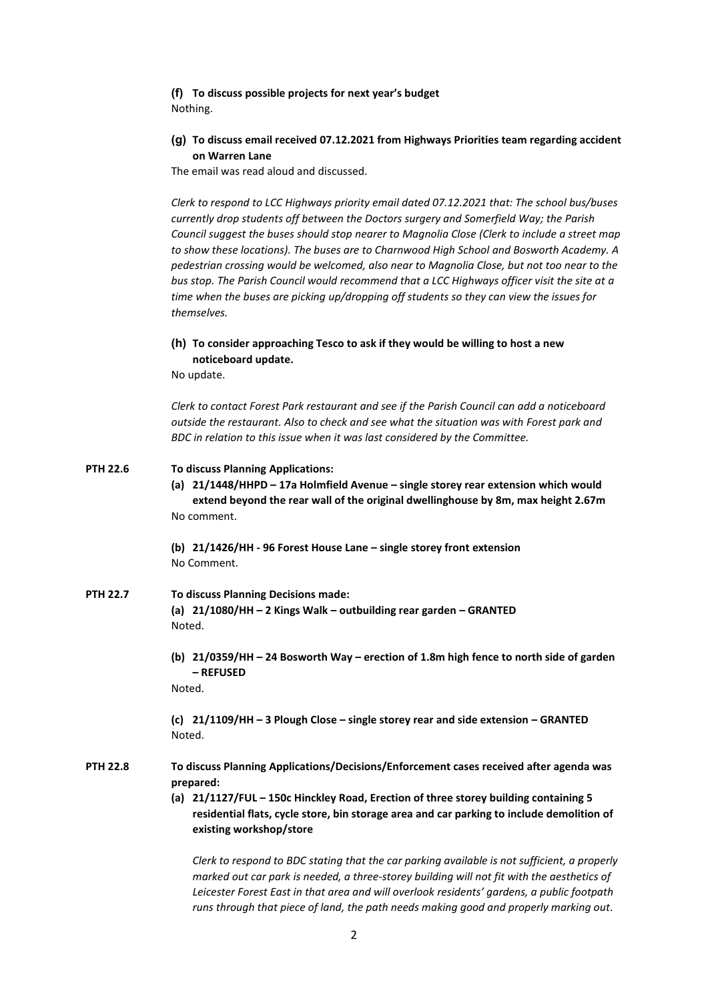**(f) To discuss possible projects for next year's budget** Nothing.

## **(g) To discuss email received 07.12.2021 from Highways Priorities team regarding accident on Warren Lane**

The email was read aloud and discussed.

*Clerk to respond to LCC Highways priority email dated 07.12.2021 that: The school bus/buses currently drop students off between the Doctors surgery and Somerfield Way; the Parish Council suggest the buses should stop nearer to Magnolia Close (Clerk to include a street map to show these locations). The buses are to Charnwood High School and Bosworth Academy. A pedestrian crossing would be welcomed, also near to Magnolia Close, but not too near to the bus stop. The Parish Council would recommend that a LCC Highways officer visit the site at a time when the buses are picking up/dropping off students so they can view the issues for themselves.*

## **(h) To consider approaching Tesco to ask if they would be willing to host a new noticeboard update.**

No update.

*Clerk to contact Forest Park restaurant and see if the Parish Council can add a noticeboard outside the restaurant. Also to check and see what the situation was with Forest park and BDC in relation to this issue when it was last considered by the Committee.*

| <b>PTH 22.6</b> | <b>To discuss Planning Applications:</b><br>(a) 21/1448/HHPD - 17a Holmfield Avenue - single storey rear extension which would<br>extend beyond the rear wall of the original dwellinghouse by 8m, max height 2.67m<br>No comment.                                                       |  |  |
|-----------------|------------------------------------------------------------------------------------------------------------------------------------------------------------------------------------------------------------------------------------------------------------------------------------------|--|--|
|                 | (b) 21/1426/HH - 96 Forest House Lane - single storey front extension<br>No Comment.                                                                                                                                                                                                     |  |  |
| <b>PTH 22.7</b> | <b>To discuss Planning Decisions made:</b><br>(a) 21/1080/HH - 2 Kings Walk - outbuilding rear garden - GRANTED<br>Noted.                                                                                                                                                                |  |  |
|                 | (b) 21/0359/HH - 24 Bosworth Way - erection of 1.8m high fence to north side of garden<br>- REFUSED<br>Noted.                                                                                                                                                                            |  |  |
|                 | (c) 21/1109/HH - 3 Plough Close - single storey rear and side extension - GRANTED<br>Noted.                                                                                                                                                                                              |  |  |
| <b>PTH 22.8</b> | To discuss Planning Applications/Decisions/Enforcement cases received after agenda was<br>prepared:<br>(a) 21/1127/FUL - 150c Hinckley Road, Erection of three storey building containing 5                                                                                              |  |  |
|                 | residential flats, cycle store, bin storage area and car parking to include demolition of<br>existing workshop/store                                                                                                                                                                     |  |  |
|                 | Clerk to respond to BDC stating that the car parking available is not sufficient, a properly<br>marked out car park is needed, a three-storey building will not fit with the aesthetics of<br>Leicester Forest East in that area and will overlook residents' gardens, a public footpath |  |  |

*runs through that piece of land, the path needs making good and properly marking out.*